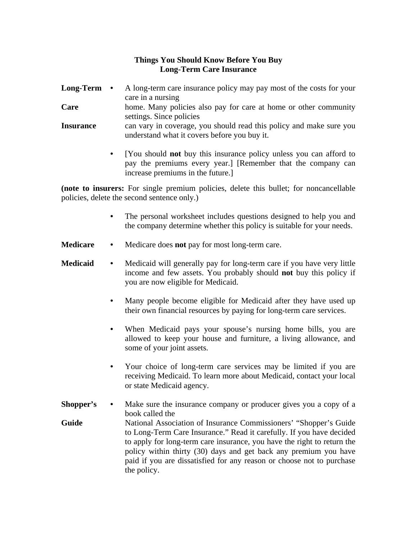## **Things You Should Know Before You Buy Long-Term Care Insurance**

- **Long-Term •** A long-term care insurance policy may pay most of the costs for your care in a nursing
- **Care** home. Many policies also pay for care at home or other community settings. Since policies
- **Insurance** can vary in coverage, you should read this policy and make sure you understand what it covers before you buy it.
	- **•** [You should **not** buy this insurance policy unless you can afford to pay the premiums every year.] [Remember that the company can increase premiums in the future.]

**(note to insurers:** For single premium policies, delete this bullet; for noncancellable policies, delete the second sentence only.)

- **•** The personal worksheet includes questions designed to help you and the company determine whether this policy is suitable for your needs.
- **Medicare** Medicare does **not** pay for most long-term care.
- **Medicaid** Medicaid will generally pay for long-term care if you have very little income and few assets. You probably should **not** buy this policy if you are now eligible for Medicaid.
	- Many people become eligible for Medicaid after they have used up their own financial resources by paying for long-term care services.
	- When Medicaid pays your spouse's nursing home bills, you are allowed to keep your house and furniture, a living allowance, and some of your joint assets.
	- **•** Your choice of long-term care services may be limited if you are receiving Medicaid. To learn more about Medicaid, contact your local or state Medicaid agency.
- **Shopper's** Make sure the insurance company or producer gives you a copy of a book called the **Guide** National Association of Insurance Commissioners' "Shopper's Guide to Long-Term Care Insurance." Read it carefully. If you have decided to apply for long-term care insurance, you have the right to return the policy within thirty (30) days and get back any premium you have paid if you are dissatisfied for any reason or choose not to purchase the policy.